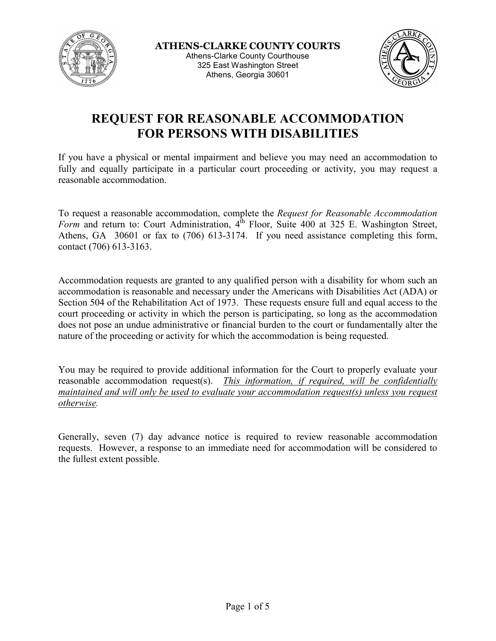



# REQUEST FOR REASONABLE ACCOMMODATION FOR PERSONS WITH DISABILITIES

If you have a physical or mental impairment and believe you may need an accommodation to fully and equally participate in a particular court proceeding or activity, you may request a reasonable accommodation.

To request a reasonable accommodation, complete the Request for Reasonable Accommodation Form and return to: Court Administration,  $4^{\text{th}}$  Floor, Suite  $400$  at 325 E. Washington Street, Athens, GA 30601 or fax to (706) 613-3174. If you need assistance completing this form, contact (706) 613-3163.

Accommodation requests are granted to any qualified person with a disability for whom such an accommodation is reasonable and necessary under the Americans with Disabilities Act (ADA) or Section 504 of the Rehabilitation Act of 1973. These requests ensure full and equal access to the court proceeding or activity in which the person is participating, so long as the accommodation does not pose an undue administrative or financial burden to the court or fundamentally alter the nature of the proceeding or activity for which the accommodation is being requested.

You may be required to provide additional information for the Court to properly evaluate your reasonable accommodation request(s). This information, if required, will be confidentially maintained and will only be used to evaluate your accommodation request(s) unless you request otherwise.

Generally, seven (7) day advance notice is required to review reasonable accommodation requests. However, a response to an immediate need for accommodation will be considered to the fullest extent possible.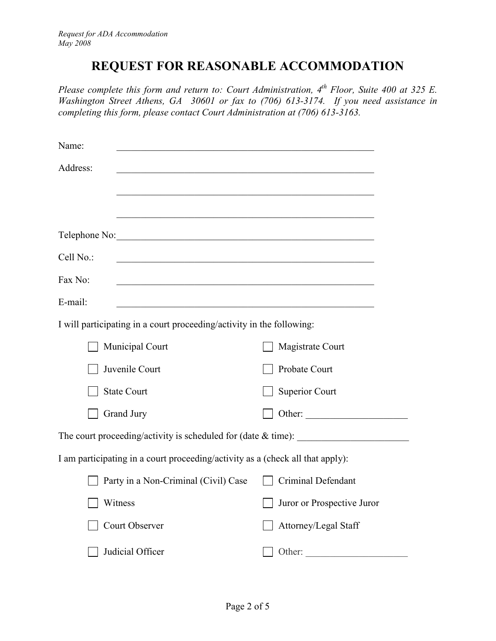### REQUEST FOR REASONABLE ACCOMMODATION

Please complete this form and return to: Court Administration,  $4^{th}$  Floor, Suite 400 at 325 E. Washington Street Athens, GA 30601 or fax to (706) 613-3174. If you need assistance in completing this form, please contact Court Administration at (706) 613-3163.

| Name:                                                                          |                            |
|--------------------------------------------------------------------------------|----------------------------|
| Address:                                                                       |                            |
|                                                                                |                            |
| Telephone No:                                                                  |                            |
| Cell No.:                                                                      |                            |
| Fax No:                                                                        |                            |
| E-mail:                                                                        |                            |
| I will participating in a court proceeding/activity in the following:          |                            |
| Municipal Court                                                                | Magistrate Court           |
| Juvenile Court                                                                 | Probate Court              |
| <b>State Court</b>                                                             | <b>Superior Court</b>      |
| Grand Jury                                                                     | Other:                     |
| The court proceeding/activity is scheduled for (date $\&$ time):               |                            |
| I am participating in a court proceeding/activity as a (check all that apply): |                            |
| Party in a Non-Criminal (Civil) Case                                           | Criminal Defendant         |
| Witness                                                                        | Juror or Prospective Juror |
| Court Observer                                                                 | Attorney/Legal Staff       |
| Judicial Officer                                                               | Other:                     |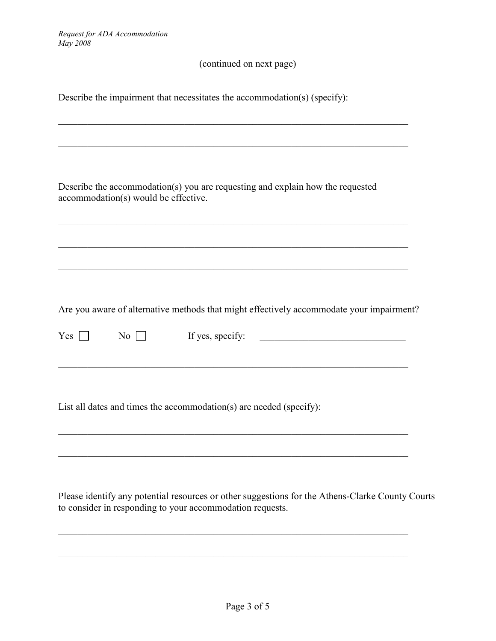#### (continued on next page)

|                                      |                                                                     | Describe the impairment that necessitates the accommodation(s) (specify):                |
|--------------------------------------|---------------------------------------------------------------------|------------------------------------------------------------------------------------------|
| accommodation(s) would be effective. |                                                                     | Describe the accommodation(s) you are requesting and explain how the requested           |
|                                      |                                                                     |                                                                                          |
|                                      |                                                                     | Are you aware of alternative methods that might effectively accommodate your impairment? |
|                                      | List all dates and times the accommodation(s) are needed (specify): |                                                                                          |

Please identify any potential resources or other suggestions for the Athens-Clarke County Courts to consider in responding to your accommodation requests.

 $\_$  , and the contribution of the contribution of  $\mathcal{L}_\mathcal{A}$  , and the contribution of  $\mathcal{L}_\mathcal{A}$ 

 $\_$  , and the contribution of the contribution of  $\mathcal{L}_\mathcal{A}$  , and the contribution of  $\mathcal{L}_\mathcal{A}$ 

 $\_$  , and the set of the set of the set of the set of the set of the set of the set of the set of the set of the set of the set of the set of the set of the set of the set of the set of the set of the set of the set of th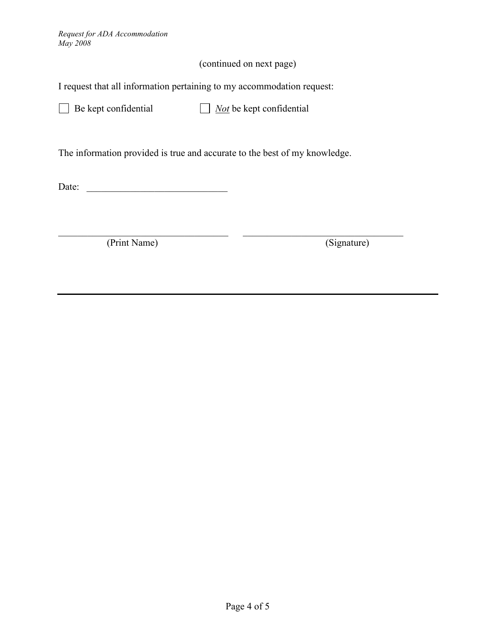Request for ADA Accommodation May 2008

#### (continued on next page)

I request that all information pertaining to my accommodation request:

 $\Box$  Be kept confidential  $\Box$  Not be kept confidential

The information provided is true and accurate to the best of my knowledge.

Date: \_\_\_\_\_\_\_\_\_\_\_\_\_\_\_\_\_\_\_\_\_\_\_\_\_\_\_\_\_

 $\_$  , and the set of the set of the set of the set of the set of the set of the set of the set of the set of the set of the set of the set of the set of the set of the set of the set of the set of the set of the set of th (Print Name) (Signature)